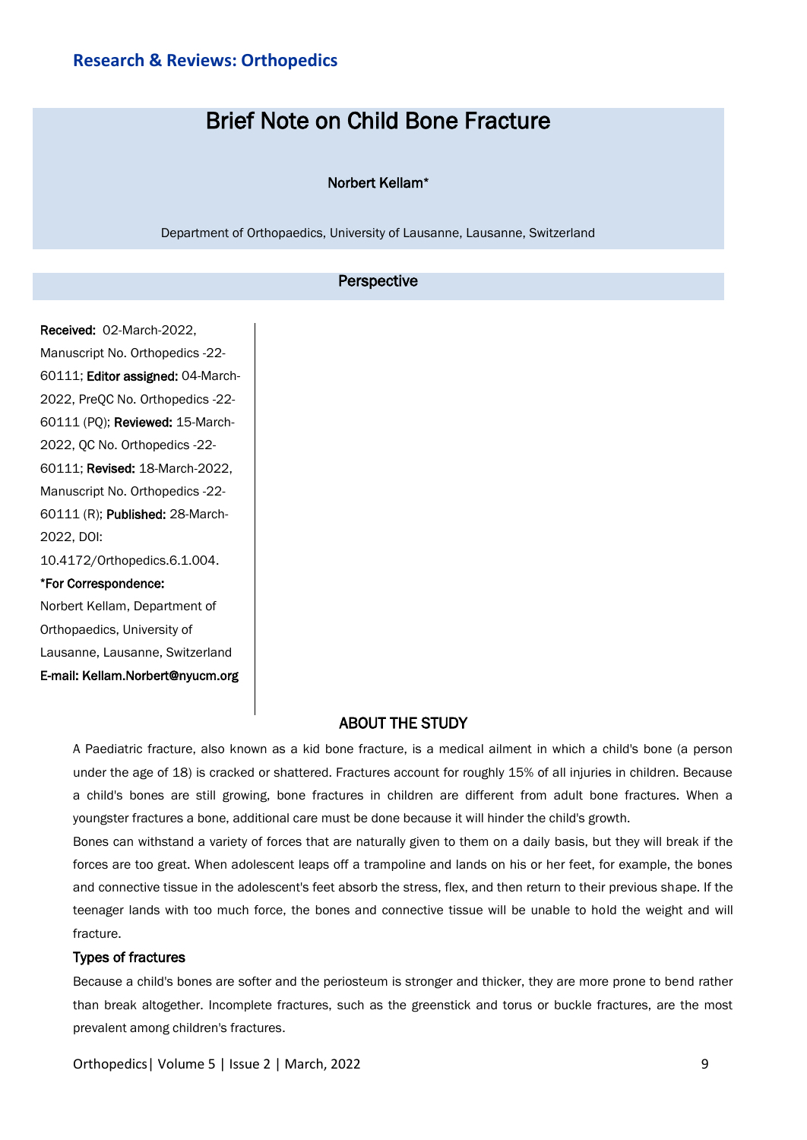# Brief Note on Child Bone Fracture

### Norbert Kellam\*

Department of Orthopaedics, University of Lausanne, Lausanne, Switzerland

## Perspective

Received: 02-March-2022, Manuscript No. Orthopedics -22- 60111; Editor assigned: 04-March-2022, PreQC No. Orthopedics -22- 60111 (PQ); Reviewed: 15-March-2022, QC No. Orthopedics -22- 60111; Revised: 18-March-2022, Manuscript No. Orthopedics -22- 60111 (R); Published: 28-March-2022, DOI: 10.4172/Orthopedics.6.1.004. \*For Correspondence: Norbert Kellam, Department of

Orthopaedics, University of Lausanne, Lausanne, Switzerland E-mail: Kellam.Norbert@nyucm.org

# ABOUT THE STUDY

A Paediatric fracture, also known as a kid bone fracture, is a medical ailment in which a child's bone (a person under the age of 18) is cracked or shattered. Fractures account for roughly 15% of all injuries in children. Because a child's bones are still growing, bone fractures in children are different from adult bone fractures. When a youngster fractures a bone, additional care must be done because it will hinder the child's growth.

Bones can withstand a variety of forces that are naturally given to them on a daily basis, but they will break if the forces are too great. When adolescent leaps off a trampoline and lands on his or her feet, for example, the bones and connective tissue in the adolescent's feet absorb the stress, flex, and then return to their previous shape. If the teenager lands with too much force, the bones and connective tissue will be unable to hold the weight and will fracture.

#### Types of fractures

Because a child's bones are softer and the periosteum is stronger and thicker, they are more prone to bend rather than break altogether. Incomplete fractures, such as the greenstick and torus or buckle fractures, are the most prevalent among children's fractures.

Orthopedics| Volume 5 | Issue 2 | March, 2022 9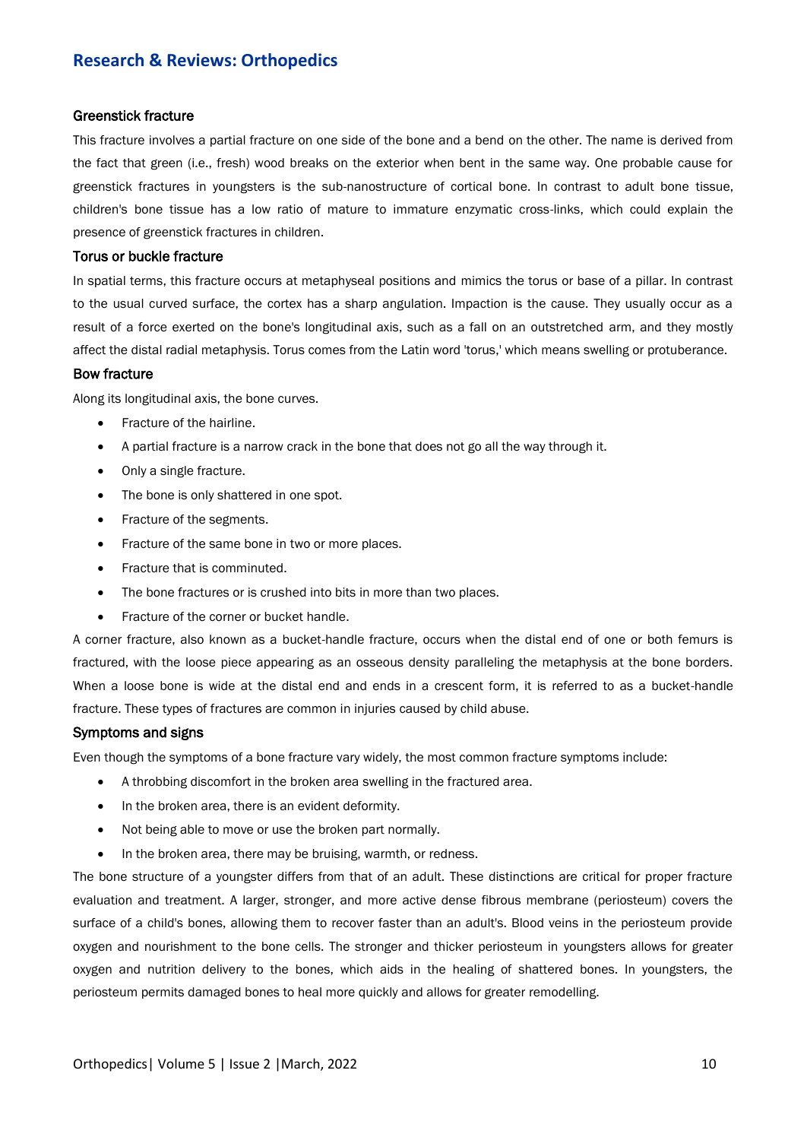# **Research & Reviews: Orthopedics**

#### Greenstick fracture

This fracture involves a partial fracture on one side of the bone and a bend on the other. The name is derived from the fact that green (i.e., fresh) wood breaks on the exterior when bent in the same way. One probable cause for greenstick fractures in youngsters is the sub-nanostructure of cortical bone. In contrast to adult bone tissue, children's bone tissue has a low ratio of mature to immature enzymatic cross-links, which could explain the presence of greenstick fractures in children.

#### Torus or buckle fracture

In spatial terms, this fracture occurs at metaphyseal positions and mimics the torus or base of a pillar. In contrast to the usual curved surface, the cortex has a sharp angulation. Impaction is the cause. They usually occur as a result of a force exerted on the bone's longitudinal axis, such as a fall on an outstretched arm, and they mostly affect the distal radial metaphysis. Torus comes from the Latin word 'torus,' which means swelling or protuberance.

#### Bow fracture

Along its longitudinal axis, the bone curves.

- Fracture of the hairline.
- A partial fracture is a narrow crack in the bone that does not go all the way through it.
- Only a single fracture.
- The bone is only shattered in one spot.
- Fracture of the segments.
- Fracture of the same bone in two or more places.
- Fracture that is comminuted.
- The bone fractures or is crushed into bits in more than two places.
- Fracture of the corner or bucket handle.

A corner fracture, also known as a bucket-handle fracture, occurs when the distal end of one or both femurs is fractured, with the loose piece appearing as an osseous density paralleling the metaphysis at the bone borders. When a loose bone is wide at the distal end and ends in a crescent form, it is referred to as a bucket-handle fracture. These types of fractures are common in injuries caused by child abuse.

#### Symptoms and signs

Even though the symptoms of a bone fracture vary widely, the most common fracture symptoms include:

- A throbbing discomfort in the broken area swelling in the fractured area.
- In the broken area, there is an evident deformity.
- Not being able to move or use the broken part normally.
- In the broken area, there may be bruising, warmth, or redness.

The bone structure of a youngster differs from that of an adult. These distinctions are critical for proper fracture evaluation and treatment. A larger, stronger, and more active dense fibrous membrane (periosteum) covers the surface of a child's bones, allowing them to recover faster than an adult's. Blood veins in the periosteum provide oxygen and nourishment to the bone cells. The stronger and thicker periosteum in youngsters allows for greater oxygen and nutrition delivery to the bones, which aids in the healing of shattered bones. In youngsters, the periosteum permits damaged bones to heal more quickly and allows for greater remodelling.